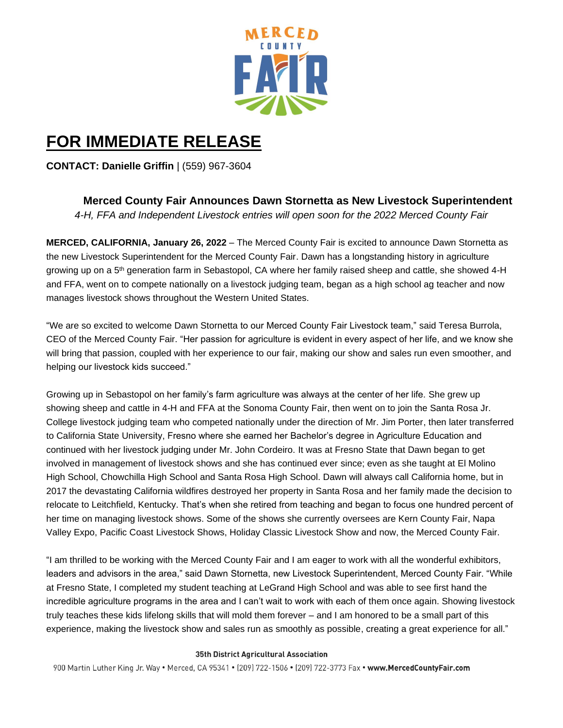

## **FOR IMMEDIATE RELEASE**

**CONTACT: Danielle Griffin** | (559) 967-3604

**Merced County Fair Announces Dawn Stornetta as New Livestock Superintendent** 

*4-H, FFA and Independent Livestock entries will open soon for the 2022 Merced County Fair*

**MERCED, CALIFORNIA, January 26, 2022** – The Merced County Fair is excited to announce Dawn Stornetta as the new Livestock Superintendent for the Merced County Fair. Dawn has a longstanding history in agriculture growing up on a 5<sup>th</sup> generation farm in Sebastopol, CA where her family raised sheep and cattle, she showed 4-H and FFA, went on to compete nationally on a livestock judging team, began as a high school ag teacher and now manages livestock shows throughout the Western United States.

"We are so excited to welcome Dawn Stornetta to our Merced County Fair Livestock team," said Teresa Burrola, CEO of the Merced County Fair. "Her passion for agriculture is evident in every aspect of her life, and we know she will bring that passion, coupled with her experience to our fair, making our show and sales run even smoother, and helping our livestock kids succeed."

Growing up in Sebastopol on her family's farm agriculture was always at the center of her life. She grew up showing sheep and cattle in 4-H and FFA at the Sonoma County Fair, then went on to join the Santa Rosa Jr. College livestock judging team who competed nationally under the direction of Mr. Jim Porter, then later transferred to California State University, Fresno where she earned her Bachelor's degree in Agriculture Education and continued with her livestock judging under Mr. John Cordeiro. It was at Fresno State that Dawn began to get involved in management of livestock shows and she has continued ever since; even as she taught at El Molino High School, Chowchilla High School and Santa Rosa High School. Dawn will always call California home, but in 2017 the devastating California wildfires destroyed her property in Santa Rosa and her family made the decision to relocate to Leitchfield, Kentucky. That's when she retired from teaching and began to focus one hundred percent of her time on managing livestock shows. Some of the shows she currently oversees are Kern County Fair, Napa Valley Expo, Pacific Coast Livestock Shows, Holiday Classic Livestock Show and now, the Merced County Fair.

"I am thrilled to be working with the Merced County Fair and I am eager to work with all the wonderful exhibitors, leaders and advisors in the area," said Dawn Stornetta, new Livestock Superintendent, Merced County Fair. "While at Fresno State, I completed my student teaching at LeGrand High School and was able to see first hand the incredible agriculture programs in the area and I can't wait to work with each of them once again. Showing livestock truly teaches these kids lifelong skills that will mold them forever – and I am honored to be a small part of this experience, making the livestock show and sales run as smoothly as possible, creating a great experience for all."

## 35th District Agricultural Association

900 Martin Luther King Jr. Way . Merced, CA 95341 . (209) 722-1506 . (209) 722-3773 Fax . www.MercedCountyFair.com